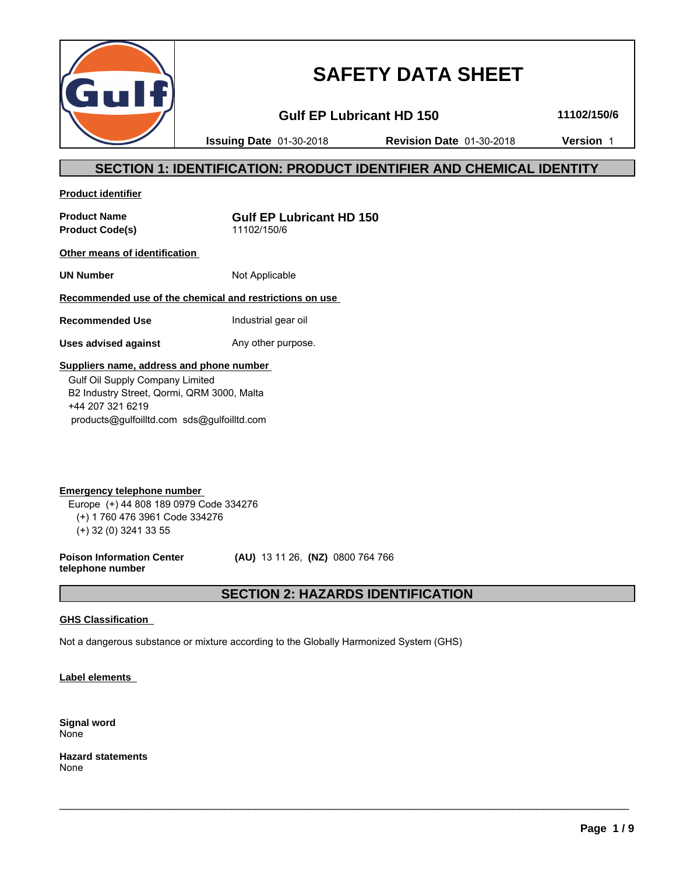

# **SAFETY DATA SHEET**

**Gulf EP Lubricant HD 150 11102/150/6**

**Issuing Date** 01-30-2018 **Revision Date** 01-30-2018 **Version** 1

### **SECTION 1: IDENTIFICATION: PRODUCT IDENTIFIER AND CHEMICAL IDENTITY**

**Product identifier**

**Product Code(s)** 11102/150/6

**Product Name Gulf EP Lubricant HD 150**

**Other means of identification** 

**UN Number** Not Applicable

**Recommended use of the chemical and restrictions on use** 

**Recommended Use Industrial gear oil** 

**Uses advised against** Any other purpose.

### **Suppliers name, address and phone number**

 Gulf Oil Supply Company Limited B2 Industry Street, Qormi, QRM 3000, Malta +44 207 321 6219 products@gulfoilltd.com sds@gulfoilltd.com

**Emergency telephone number**  Europe (+) 44 808 189 0979 Code 334276 (+) 1 760 476 3961 Code 334276 (+) 32 (0) 3241 33 55

**Poison Information Center telephone number**

 **(AU)** 13 11 26, **(NZ)** 0800 764 766

## **SECTION 2: HAZARDS IDENTIFICATION**

 $\_$  ,  $\_$  ,  $\_$  ,  $\_$  ,  $\_$  ,  $\_$  ,  $\_$  ,  $\_$  ,  $\_$  ,  $\_$  ,  $\_$  ,  $\_$  ,  $\_$  ,  $\_$  ,  $\_$  ,  $\_$  ,  $\_$  ,  $\_$  ,  $\_$  ,  $\_$  ,  $\_$  ,  $\_$  ,  $\_$  ,  $\_$  ,  $\_$  ,  $\_$  ,  $\_$  ,  $\_$  ,  $\_$  ,  $\_$  ,  $\_$  ,  $\_$  ,  $\_$  ,  $\_$  ,  $\_$  ,  $\_$  ,  $\_$  ,

### **GHS Classification**

Not a dangerous substance or mixture according to the Globally Harmonized System (GHS)

**Label elements** 

**Signal word** None

**Hazard statements** None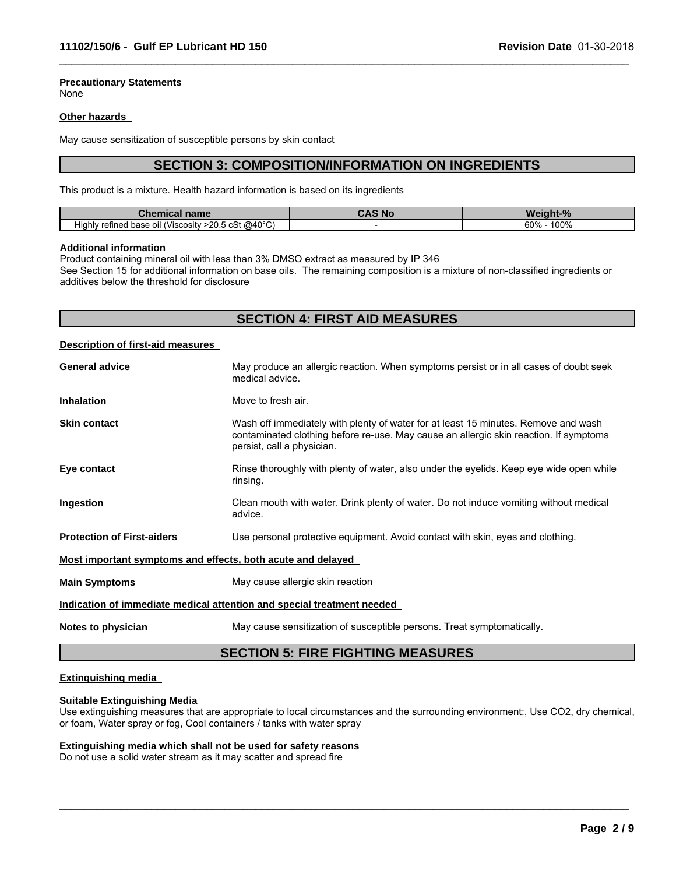### **Precautionary Statements**

None

#### **Other hazards**

May cause sensitization of susceptible persons by skin contact

### **SECTION 3: COMPOSITION/INFORMATION ON INGREDIENTS**

 $\_$  ,  $\_$  ,  $\_$  ,  $\_$  ,  $\_$  ,  $\_$  ,  $\_$  ,  $\_$  ,  $\_$  ,  $\_$  ,  $\_$  ,  $\_$  ,  $\_$  ,  $\_$  ,  $\_$  ,  $\_$  ,  $\_$  ,  $\_$  ,  $\_$  ,  $\_$  ,  $\_$  ,  $\_$  ,  $\_$  ,  $\_$  ,  $\_$  ,  $\_$  ,  $\_$  ,  $\_$  ,  $\_$  ,  $\_$  ,  $\_$  ,  $\_$  ,  $\_$  ,  $\_$  ,  $\_$  ,  $\_$  ,  $\_$  ,

This product is a mixture. Health hazard information is based on its ingredients

| nnm<br>Chemical <b>Chemical</b><br>панк<br>______                            | . .<br>w<br>$\sqrt{2}$                          |  |
|------------------------------------------------------------------------------|-------------------------------------------------|--|
| . @40°C`<br>.<br>∴ >20∴<br>∕⊃ہ .<br>refined base oil<br>(Viscosity<br>Highly | ده ۵<br>100 <sub>0</sub><br>, υυ<br>ט י<br>- 70 |  |

#### **Additional information**

Product containing mineral oil with less than 3% DMSO extract as measured by IP 346

See Section 15 for additional information on base oils. The remaining composition is a mixture of non-classified ingredients or additives below the threshold for disclosure

|                                          | <b>SECTION 4: FIRST AID MEASURES</b>                                                                                                                                                                      |
|------------------------------------------|-----------------------------------------------------------------------------------------------------------------------------------------------------------------------------------------------------------|
| <b>Description of first-aid measures</b> |                                                                                                                                                                                                           |
| <b>General advice</b>                    | May produce an allergic reaction. When symptoms persist or in all cases of doubt seek<br>medical advice.                                                                                                  |
| <b>Inhalation</b>                        | Move to fresh air.                                                                                                                                                                                        |
| <b>Skin contact</b>                      | Wash off immediately with plenty of water for at least 15 minutes. Remove and wash<br>contaminated clothing before re-use. May cause an allergic skin reaction. If symptoms<br>persist, call a physician. |
| Eye contact                              | Rinse thoroughly with plenty of water, also under the eyelids. Keep eye wide open while<br>rinsing.                                                                                                       |
| Ingestion                                | Clean mouth with water. Drink plenty of water. Do not induce vomiting without medical<br>advice.                                                                                                          |
| <b>Protection of First-aiders</b>        | Use personal protective equipment. Avoid contact with skin, eyes and clothing.                                                                                                                            |
|                                          | Most important symptoms and effects, both acute and delayed                                                                                                                                               |
| <b>Main Symptoms</b>                     | May cause allergic skin reaction                                                                                                                                                                          |
|                                          | Indication of immediate medical attention and special treatment needed                                                                                                                                    |

**Notes to physician** May cause sensitization of susceptible persons. Treat symptomatically.

### **SECTION 5: FIRE FIGHTING MEASURES**

#### **Extinguishing media**

#### **Suitable Extinguishing Media**

Use extinguishing measures that are appropriate to local circumstances and the surrounding environment:, Use CO2, dry chemical, or foam, Water spray or fog, Cool containers / tanks with water spray

 $\_$  ,  $\_$  ,  $\_$  ,  $\_$  ,  $\_$  ,  $\_$  ,  $\_$  ,  $\_$  ,  $\_$  ,  $\_$  ,  $\_$  ,  $\_$  ,  $\_$  ,  $\_$  ,  $\_$  ,  $\_$  ,  $\_$  ,  $\_$  ,  $\_$  ,  $\_$  ,  $\_$  ,  $\_$  ,  $\_$  ,  $\_$  ,  $\_$  ,  $\_$  ,  $\_$  ,  $\_$  ,  $\_$  ,  $\_$  ,  $\_$  ,  $\_$  ,  $\_$  ,  $\_$  ,  $\_$  ,  $\_$  ,  $\_$  ,

### **Extinguishing media which shall not be used for safety reasons**

Do not use a solid water stream as it may scatter and spread fire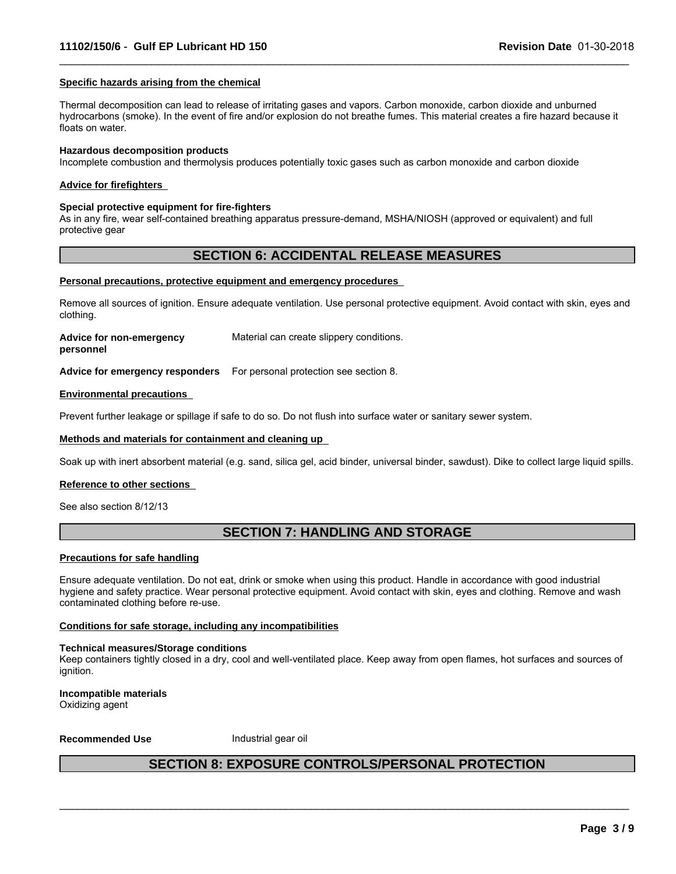#### **Specific hazards arising from the chemical**

Thermal decomposition can lead to release of irritating gases and vapors. Carbon monoxide, carbon dioxide and unburned hydrocarbons (smoke). In the event of fire and/or explosion do not breathe fumes. This material creates a fire hazard because it floats on water.

 $\_$  ,  $\_$  ,  $\_$  ,  $\_$  ,  $\_$  ,  $\_$  ,  $\_$  ,  $\_$  ,  $\_$  ,  $\_$  ,  $\_$  ,  $\_$  ,  $\_$  ,  $\_$  ,  $\_$  ,  $\_$  ,  $\_$  ,  $\_$  ,  $\_$  ,  $\_$  ,  $\_$  ,  $\_$  ,  $\_$  ,  $\_$  ,  $\_$  ,  $\_$  ,  $\_$  ,  $\_$  ,  $\_$  ,  $\_$  ,  $\_$  ,  $\_$  ,  $\_$  ,  $\_$  ,  $\_$  ,  $\_$  ,  $\_$  ,

#### **Hazardous decomposition products**

Incomplete combustion and thermolysis produces potentially toxic gases such as carbon monoxide and carbon dioxide

#### **Advice for firefighters**

#### **Special protective equipment for fire-fighters**

As in any fire, wear self-contained breathing apparatus pressure-demand, MSHA/NIOSH (approved or equivalent) and full protective gear

### **SECTION 6: ACCIDENTAL RELEASE MEASURES**

#### **Personal precautions, protective equipment and emergency procedures**

Remove all sources of ignition. Ensure adequate ventilation. Use personal protective equipment. Avoid contact with skin, eyes and clothing.

**Advice for non-emergency** Material can create slippery conditions.

**personnel**

**Advice for emergency responders** For personal protection see section 8.

#### **Environmental precautions**

Prevent further leakage or spillage if safe to do so. Do not flush into surface water or sanitary sewer system.

#### **Methods and materials for containment and cleaning up**

Soak up with inert absorbent material (e.g. sand, silica gel, acid binder, universal binder, sawdust). Dike to collect large liquid spills.

#### **Reference to other sections**

See also section 8/12/13

### **SECTION 7: HANDLING AND STORAGE**

#### **Precautions for safe handling**

Ensure adequate ventilation. Do not eat, drink or smoke when using this product. Handle in accordance with good industrial hygiene and safety practice. Wear personal protective equipment. Avoid contact with skin, eyes and clothing. Remove and wash contaminated clothing before re-use.

#### **Conditions for safe storage, including any incompatibilities**

#### **Technical measures/Storage conditions**

Keep containers tightly closed in a dry, cool and well-ventilated place. Keep away from open flames, hot surfaces and sources of ianition.

**Incompatible materials** Oxidizing agent

**Recommended Use** Industrial gear oil

### **SECTION 8: EXPOSURE CONTROLS/PERSONAL PROTECTION**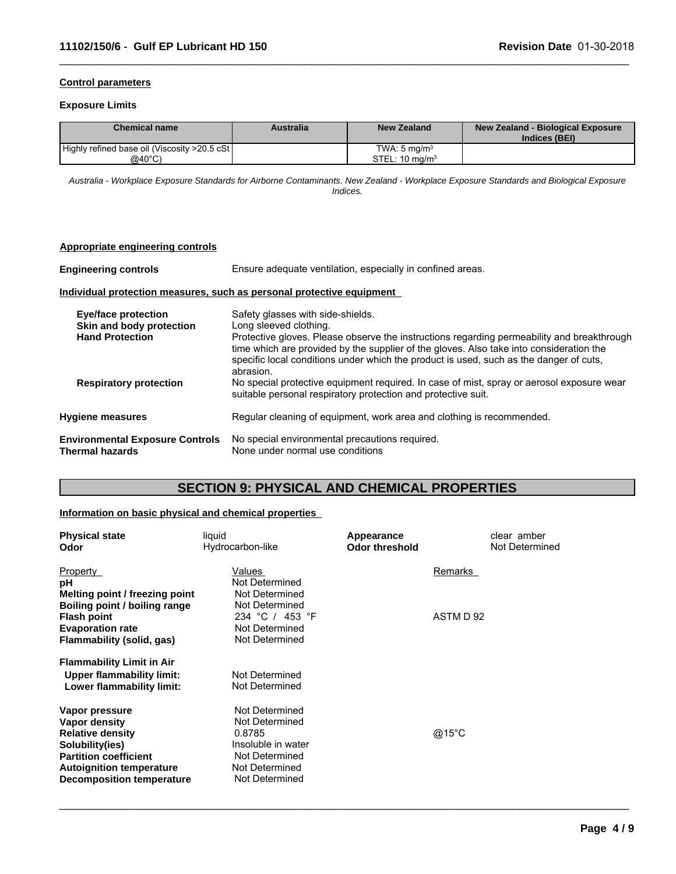### **Control parameters**

#### **Exposure Limits**

| <b>Chemical name</b>                          | Australia | <b>New Zealand</b>        | New Zealand - Biological Exposure<br>Indices (BEI) |
|-----------------------------------------------|-----------|---------------------------|----------------------------------------------------|
| Highly refined base oil (Viscosity >20.5 cSt) |           | TWA: $5 \text{ ma/m}^3$   |                                                    |
| @40°C)                                        |           | STEL: $10 \text{ mg/m}^3$ |                                                    |

 $\_$  ,  $\_$  ,  $\_$  ,  $\_$  ,  $\_$  ,  $\_$  ,  $\_$  ,  $\_$  ,  $\_$  ,  $\_$  ,  $\_$  ,  $\_$  ,  $\_$  ,  $\_$  ,  $\_$  ,  $\_$  ,  $\_$  ,  $\_$  ,  $\_$  ,  $\_$  ,  $\_$  ,  $\_$  ,  $\_$  ,  $\_$  ,  $\_$  ,  $\_$  ,  $\_$  ,  $\_$  ,  $\_$  ,  $\_$  ,  $\_$  ,  $\_$  ,  $\_$  ,  $\_$  ,  $\_$  ,  $\_$  ,  $\_$  ,

*Australia - Workplace Exposure Standards for Airborne Contaminants. New Zealand - Workplace Exposure Standards and Biological Exposure Indices.*

#### **Appropriate engineering controls**

**Engineering controls** Ensure adequate ventilation, especially in confined areas.

#### **Individual protection measures, such as personal protective equipment**

| Eye/face protection<br>Skin and body protection           | Safety glasses with side-shields.<br>Long sleeved clothing.                                                                                                                                                                                                                                  |
|-----------------------------------------------------------|----------------------------------------------------------------------------------------------------------------------------------------------------------------------------------------------------------------------------------------------------------------------------------------------|
| <b>Hand Protection</b>                                    | Protective gloves. Please observe the instructions regarding permeability and breakthrough<br>time which are provided by the supplier of the gloves. Also take into consideration the<br>specific local conditions under which the product is used, such as the danger of cuts,<br>abrasion. |
| <b>Respiratory protection</b>                             | No special protective equipment required. In case of mist, spray or aerosol exposure wear<br>suitable personal respiratory protection and protective suit.                                                                                                                                   |
| <b>Hygiene measures</b>                                   | Regular cleaning of equipment, work area and clothing is recommended.                                                                                                                                                                                                                        |
| <b>Environmental Exposure Controls</b><br>Thermal hazards | No special environmental precautions required.<br>None under normal use conditions                                                                                                                                                                                                           |

### **SECTION 9: PHYSICAL AND CHEMICAL PROPERTIES**

### **Information on basic physical and chemical properties**

| liquid<br>Hydrocarbon-like                       | Appearance<br><b>Odor threshold</b> | clear amber<br>Not Determined |
|--------------------------------------------------|-------------------------------------|-------------------------------|
| Values                                           |                                     | Remarks                       |
| Not Determined                                   |                                     |                               |
| Melting point / freezing point<br>Not Determined |                                     |                               |
| Not Determined                                   |                                     |                               |
| 234 °C / 453 °F                                  |                                     | ASTM D 92                     |
| Not Determined                                   |                                     |                               |
| Not Determined                                   |                                     |                               |
|                                                  |                                     |                               |
| Not Determined                                   |                                     |                               |
| Not Determined                                   |                                     |                               |
| Not Determined                                   |                                     |                               |
| Not Determined                                   |                                     |                               |
| 0.8785                                           |                                     | @15°C                         |
| Insoluble in water                               |                                     |                               |
| Not Determined                                   |                                     |                               |
| Not Determined                                   |                                     |                               |
| Not Determined                                   |                                     |                               |
|                                                  |                                     |                               |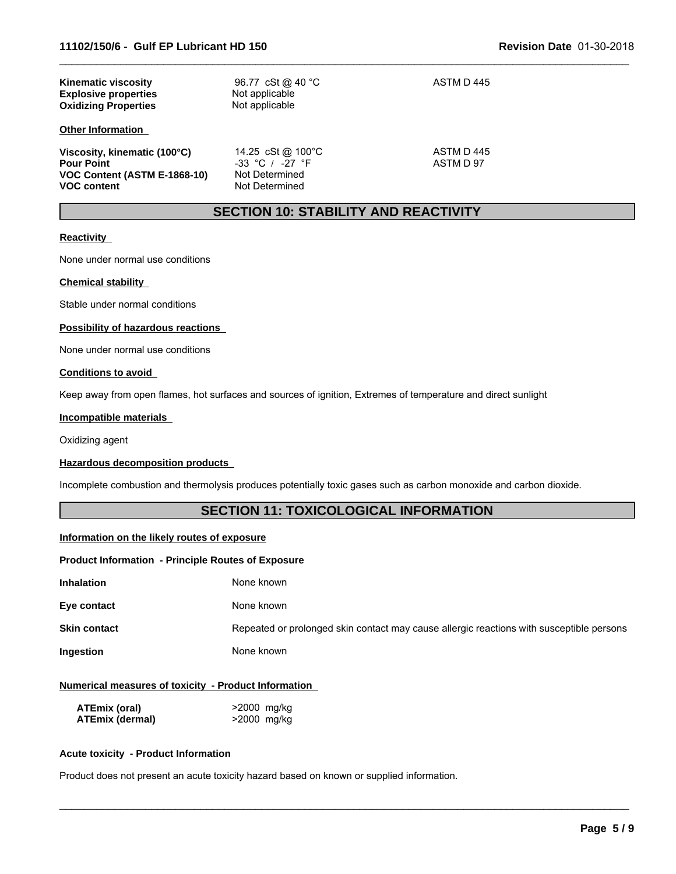| <b>Kinematic viscosity</b><br><b>Explosive properties</b><br><b>Oxidizing Properties</b>                | 96.77 cSt @ 40 °C<br>Not applicable<br>Not applicable                        | ASTM D445               |  |
|---------------------------------------------------------------------------------------------------------|------------------------------------------------------------------------------|-------------------------|--|
| <b>Other Information</b>                                                                                |                                                                              |                         |  |
| Viscosity, kinematic (100°C)<br><b>Pour Point</b><br>VOC Content (ASTM E-1868-10)<br><b>VOC content</b> | 14.25 cSt @ 100°C<br>$-33$ °C / $-27$ °F<br>Not Determined<br>Not Determined | ASTM D 445<br>ASTM D 97 |  |

### **SECTION 10: STABILITY AND REACTIVITY**

 $\_$  ,  $\_$  ,  $\_$  ,  $\_$  ,  $\_$  ,  $\_$  ,  $\_$  ,  $\_$  ,  $\_$  ,  $\_$  ,  $\_$  ,  $\_$  ,  $\_$  ,  $\_$  ,  $\_$  ,  $\_$  ,  $\_$  ,  $\_$  ,  $\_$  ,  $\_$  ,  $\_$  ,  $\_$  ,  $\_$  ,  $\_$  ,  $\_$  ,  $\_$  ,  $\_$  ,  $\_$  ,  $\_$  ,  $\_$  ,  $\_$  ,  $\_$  ,  $\_$  ,  $\_$  ,  $\_$  ,  $\_$  ,  $\_$  ,

#### **Reactivity**

None under normal use conditions

#### **Chemical stability**

Stable under normal conditions

#### **Possibility of hazardous reactions**

None under normal use conditions

#### **Conditions to avoid**

Keep away from open flames, hot surfaces and sources of ignition, Extremes of temperature and direct sunlight

#### **Incompatible materials**

Oxidizing agent

#### **Hazardous decomposition products**

Incomplete combustion and thermolysis produces potentially toxic gases such as carbon monoxide and carbon dioxide.

### **SECTION 11: TOXICOLOGICAL INFORMATION**

#### **Information on the likely routes of exposure**

#### **Product Information - Principle Routes of Exposure**

| Inhalation<br>None known |
|--------------------------|
|--------------------------|

**Eye contact** None known

**Skin contact** Repeated or prolonged skin contact may cause allergic reactions with susceptible persons

 $\_$  ,  $\_$  ,  $\_$  ,  $\_$  ,  $\_$  ,  $\_$  ,  $\_$  ,  $\_$  ,  $\_$  ,  $\_$  ,  $\_$  ,  $\_$  ,  $\_$  ,  $\_$  ,  $\_$  ,  $\_$  ,  $\_$  ,  $\_$  ,  $\_$  ,  $\_$  ,  $\_$  ,  $\_$  ,  $\_$  ,  $\_$  ,  $\_$  ,  $\_$  ,  $\_$  ,  $\_$  ,  $\_$  ,  $\_$  ,  $\_$  ,  $\_$  ,  $\_$  ,  $\_$  ,  $\_$  ,  $\_$  ,  $\_$  ,

**Ingestion** None known

#### **Numerical measures of toxicity - Product Information**

| ATEmix (oral)          | >2000 mg/kg |
|------------------------|-------------|
| <b>ATEmix (dermal)</b> | >2000 mg/kg |

#### **Acute toxicity - Product Information**

Product does not present an acute toxicity hazard based on known or supplied information.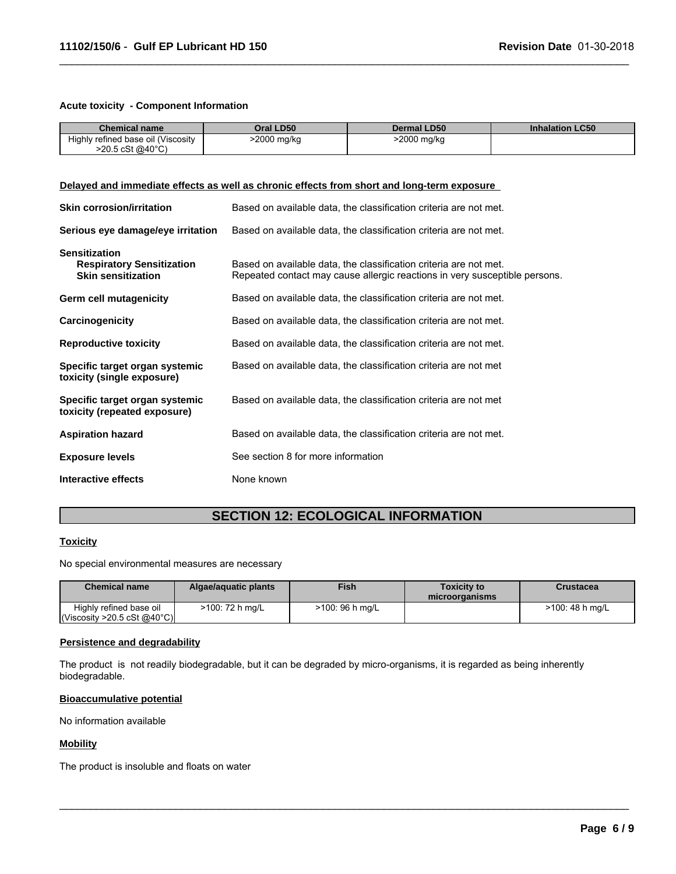#### **Acute toxicity - Component Information**

| <b>Chemical name</b>                                                                          | Oral LD50                                                                                                                                       | <b>Dermal LD50</b>                                                | <b>Inhalation LC50</b> |  |  |  |
|-----------------------------------------------------------------------------------------------|-------------------------------------------------------------------------------------------------------------------------------------------------|-------------------------------------------------------------------|------------------------|--|--|--|
| Highly refined base oil (Viscosity<br>$>20.5 \text{ cSt } @40^{\circ}C)$                      | >2000 mg/kg                                                                                                                                     | >2000 mg/kg                                                       |                        |  |  |  |
|                                                                                               |                                                                                                                                                 |                                                                   |                        |  |  |  |
| Delayed and immediate effects as well as chronic effects from short and long-term exposure    |                                                                                                                                                 |                                                                   |                        |  |  |  |
| <b>Skin corrosion/irritation</b>                                                              | Based on available data, the classification criteria are not met.                                                                               |                                                                   |                        |  |  |  |
| Serious eye damage/eye irritation                                                             |                                                                                                                                                 | Based on available data, the classification criteria are not met. |                        |  |  |  |
| <b>Sensitization</b><br><b>Respiratory Sensitization</b><br><b>Skin sensitization</b>         | Based on available data, the classification criteria are not met.<br>Repeated contact may cause allergic reactions in very susceptible persons. |                                                                   |                        |  |  |  |
| Germ cell mutagenicity                                                                        | Based on available data, the classification criteria are not met.                                                                               |                                                                   |                        |  |  |  |
| Carcinogenicity                                                                               | Based on available data, the classification criteria are not met.                                                                               |                                                                   |                        |  |  |  |
| <b>Reproductive toxicity</b>                                                                  | Based on available data, the classification criteria are not met.                                                                               |                                                                   |                        |  |  |  |
| Specific target organ systemic<br>toxicity (single exposure)                                  |                                                                                                                                                 | Based on available data, the classification criteria are not met  |                        |  |  |  |
| Specific target organ systemic<br>toxicity (repeated exposure)                                | Based on available data, the classification criteria are not met                                                                                |                                                                   |                        |  |  |  |
| <b>Aspiration hazard</b><br>Based on available data, the classification criteria are not met. |                                                                                                                                                 |                                                                   |                        |  |  |  |
| <b>Exposure levels</b>                                                                        | See section 8 for more information                                                                                                              |                                                                   |                        |  |  |  |
| Interactive effects                                                                           | None known                                                                                                                                      |                                                                   |                        |  |  |  |

 $\_$  ,  $\_$  ,  $\_$  ,  $\_$  ,  $\_$  ,  $\_$  ,  $\_$  ,  $\_$  ,  $\_$  ,  $\_$  ,  $\_$  ,  $\_$  ,  $\_$  ,  $\_$  ,  $\_$  ,  $\_$  ,  $\_$  ,  $\_$  ,  $\_$  ,  $\_$  ,  $\_$  ,  $\_$  ,  $\_$  ,  $\_$  ,  $\_$  ,  $\_$  ,  $\_$  ,  $\_$  ,  $\_$  ,  $\_$  ,  $\_$  ,  $\_$  ,  $\_$  ,  $\_$  ,  $\_$  ,  $\_$  ,  $\_$  ,

### **SECTION 12: ECOLOGICAL INFORMATION**

### **Toxicity**

No special environmental measures are necessary

| <b>Chemical name</b>                                                   | Algae/aguatic plants | <b>Fish</b>     | <b>Toxicity to</b><br>microorganisms | Crustacea       |
|------------------------------------------------------------------------|----------------------|-----------------|--------------------------------------|-----------------|
| Highly refined base oil<br>$\vert$ (Viscosity >20.5 cSt @40°C) $\vert$ | >100: 72 h mg/L      | >100: 96 h mg/L |                                      | >100: 48 h mg/L |

 $\_$  ,  $\_$  ,  $\_$  ,  $\_$  ,  $\_$  ,  $\_$  ,  $\_$  ,  $\_$  ,  $\_$  ,  $\_$  ,  $\_$  ,  $\_$  ,  $\_$  ,  $\_$  ,  $\_$  ,  $\_$  ,  $\_$  ,  $\_$  ,  $\_$  ,  $\_$  ,  $\_$  ,  $\_$  ,  $\_$  ,  $\_$  ,  $\_$  ,  $\_$  ,  $\_$  ,  $\_$  ,  $\_$  ,  $\_$  ,  $\_$  ,  $\_$  ,  $\_$  ,  $\_$  ,  $\_$  ,  $\_$  ,  $\_$  ,

#### **Persistence and degradability**

The product is not readily biodegradable, but it can be degraded by micro-organisms, it is regarded as being inherently biodegradable.

#### **Bioaccumulative potential**

No information available

### **Mobility**

The product is insoluble and floats on water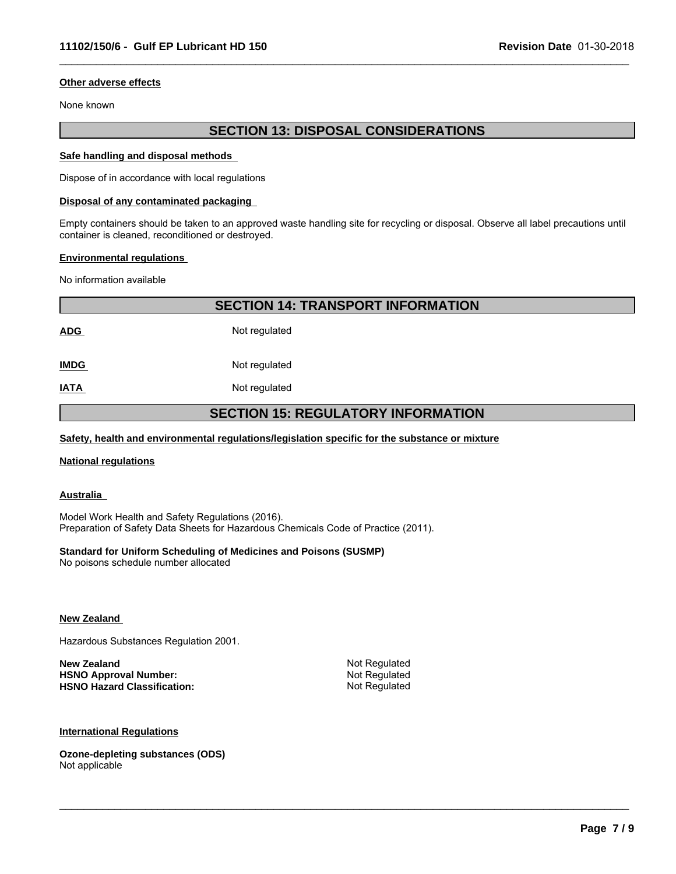#### **Other adverse effects**

None known

### **SECTION 13: DISPOSAL CONSIDERATIONS**

 $\_$  ,  $\_$  ,  $\_$  ,  $\_$  ,  $\_$  ,  $\_$  ,  $\_$  ,  $\_$  ,  $\_$  ,  $\_$  ,  $\_$  ,  $\_$  ,  $\_$  ,  $\_$  ,  $\_$  ,  $\_$  ,  $\_$  ,  $\_$  ,  $\_$  ,  $\_$  ,  $\_$  ,  $\_$  ,  $\_$  ,  $\_$  ,  $\_$  ,  $\_$  ,  $\_$  ,  $\_$  ,  $\_$  ,  $\_$  ,  $\_$  ,  $\_$  ,  $\_$  ,  $\_$  ,  $\_$  ,  $\_$  ,  $\_$  ,

#### **Safe handling and disposal methods**

Dispose of in accordance with local regulations

#### **Disposal of any contaminated packaging**

Empty containers should be taken to an approved waste handling site for recycling or disposal. Observe all label precautions until container is cleaned, reconditioned or destroyed.

#### **Environmental regulations**

No information available

|             | <b>SECTION 14: TRANSPORT INFORMATION</b>  |  |  |  |
|-------------|-------------------------------------------|--|--|--|
| <b>ADG</b>  | Not regulated                             |  |  |  |
| <b>IMDG</b> | Not regulated                             |  |  |  |
| <u>IATA</u> | Not regulated                             |  |  |  |
|             | <b>SECTION 15: REGULATORY INFORMATION</b> |  |  |  |

 $\_$  ,  $\_$  ,  $\_$  ,  $\_$  ,  $\_$  ,  $\_$  ,  $\_$  ,  $\_$  ,  $\_$  ,  $\_$  ,  $\_$  ,  $\_$  ,  $\_$  ,  $\_$  ,  $\_$  ,  $\_$  ,  $\_$  ,  $\_$  ,  $\_$  ,  $\_$  ,  $\_$  ,  $\_$  ,  $\_$  ,  $\_$  ,  $\_$  ,  $\_$  ,  $\_$  ,  $\_$  ,  $\_$  ,  $\_$  ,  $\_$  ,  $\_$  ,  $\_$  ,  $\_$  ,  $\_$  ,  $\_$  ,  $\_$  ,

#### **Safety, health and environmental regulations/legislation specific for the substance or mixture**

#### **National regulations**

**Australia** 

Model Work Health and Safety Regulations (2016). Preparation of Safety Data Sheets for Hazardous Chemicals Code of Practice (2011).

#### **Standard for Uniform Scheduling of Medicines and Poisons (SUSMP)**

No poisons schedule number allocated

#### **New Zealand**

Hazardous Substances Regulation 2001.

| New Zealand                        | Not Regulated |
|------------------------------------|---------------|
| <b>HSNO Approval Number:</b>       | Not Regulated |
| <b>HSNO Hazard Classification:</b> | Not Regulated |

#### **International Regulations**

**Ozone-depleting substances (ODS)** Not applicable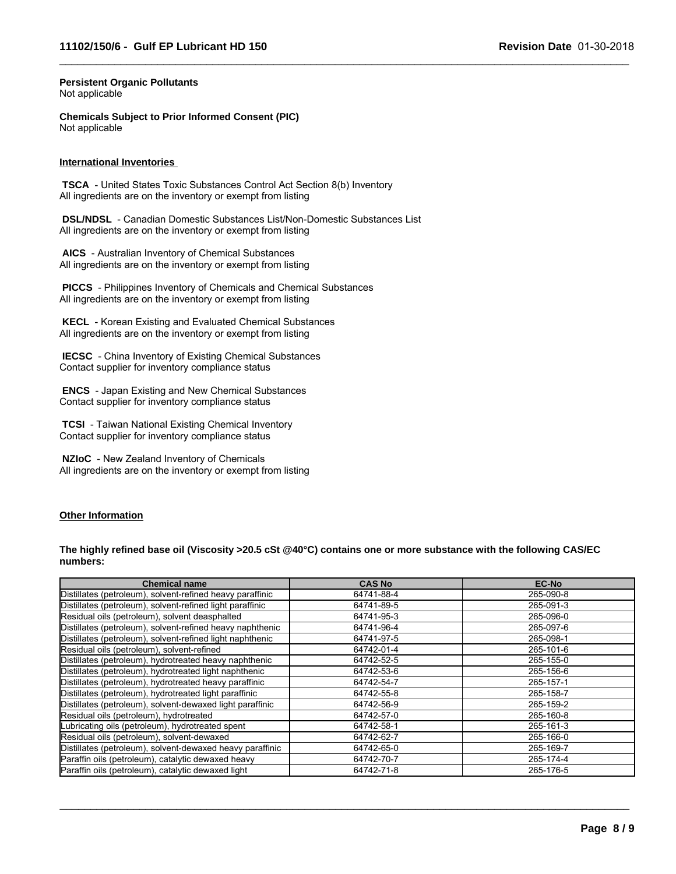$\_$  ,  $\_$  ,  $\_$  ,  $\_$  ,  $\_$  ,  $\_$  ,  $\_$  ,  $\_$  ,  $\_$  ,  $\_$  ,  $\_$  ,  $\_$  ,  $\_$  ,  $\_$  ,  $\_$  ,  $\_$  ,  $\_$  ,  $\_$  ,  $\_$  ,  $\_$  ,  $\_$  ,  $\_$  ,  $\_$  ,  $\_$  ,  $\_$  ,  $\_$  ,  $\_$  ,  $\_$  ,  $\_$  ,  $\_$  ,  $\_$  ,  $\_$  ,  $\_$  ,  $\_$  ,  $\_$  ,  $\_$  ,  $\_$  ,

#### **Persistent Organic Pollutants** Not applicable

**Chemicals Subject to Prior Informed Consent (PIC)** Not applicable

#### **International Inventories**

 **TSCA** - United States Toxic Substances Control Act Section 8(b) Inventory All ingredients are on the inventory or exempt from listing

 **DSL/NDSL** - Canadian Domestic Substances List/Non-Domestic Substances List All ingredients are on the inventory or exempt from listing

 **AICS** - Australian Inventory of Chemical Substances All ingredients are on the inventory or exempt from listing

 **PICCS** - Philippines Inventory of Chemicals and Chemical Substances All ingredients are on the inventory or exempt from listing

 **KECL** - Korean Existing and Evaluated Chemical Substances All ingredients are on the inventory or exempt from listing

 **IECSC** - China Inventory of Existing Chemical Substances Contact supplier for inventory compliance status

 **ENCS** - Japan Existing and New Chemical Substances Contact supplier for inventory compliance status

 **TCSI** - Taiwan National Existing Chemical Inventory Contact supplier for inventory compliance status

 **NZIoC** - New Zealand Inventory of Chemicals All ingredients are on the inventory or exempt from listing

#### **Other Information**

**The highly refined base oil (Viscosity >20.5 cSt @40°C) contains one or more substance with the following CAS/EC numbers:**

| <b>Chemical name</b>                                      | <b>CAS No</b> | <b>EC-No</b> |
|-----------------------------------------------------------|---------------|--------------|
| Distillates (petroleum), solvent-refined heavy paraffinic | 64741-88-4    | 265-090-8    |
| Distillates (petroleum), solvent-refined light paraffinic | 64741-89-5    | 265-091-3    |
| Residual oils (petroleum), solvent deasphalted            | 64741-95-3    | 265-096-0    |
| Distillates (petroleum), solvent-refined heavy naphthenic | 64741-96-4    | 265-097-6    |
| Distillates (petroleum), solvent-refined light naphthenic | 64741-97-5    | 265-098-1    |
| Residual oils (petroleum), solvent-refined                | 64742-01-4    | 265-101-6    |
| Distillates (petroleum), hydrotreated heavy naphthenic    | 64742-52-5    | 265-155-0    |
| Distillates (petroleum), hydrotreated light naphthenic    | 64742-53-6    | 265-156-6    |
| Distillates (petroleum), hydrotreated heavy paraffinic    | 64742-54-7    | 265-157-1    |
| Distillates (petroleum), hydrotreated light paraffinic    | 64742-55-8    | 265-158-7    |
| Distillates (petroleum), solvent-dewaxed light paraffinic | 64742-56-9    | 265-159-2    |
| Residual oils (petroleum), hydrotreated                   | 64742-57-0    | 265-160-8    |
| Lubricating oils (petroleum), hydrotreated spent          | 64742-58-1    | 265-161-3    |
| Residual oils (petroleum), solvent-dewaxed                | 64742-62-7    | 265-166-0    |
| Distillates (petroleum), solvent-dewaxed heavy paraffinic | 64742-65-0    | 265-169-7    |
| Paraffin oils (petroleum), catalytic dewaxed heavy        | 64742-70-7    | 265-174-4    |
| Paraffin oils (petroleum), catalytic dewaxed light        | 64742-71-8    | 265-176-5    |